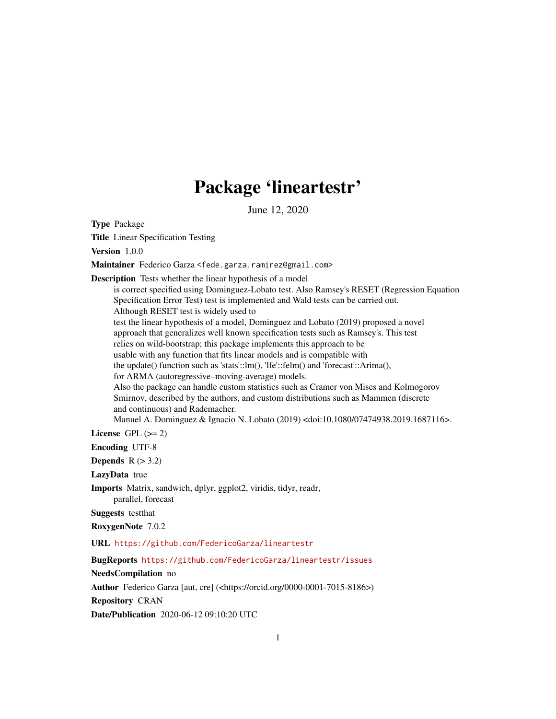## Package 'lineartestr'

June 12, 2020

Type Package

Title Linear Specification Testing

Version 1.0.0

Maintainer Federico Garza <fede.garza.ramirez@gmail.com>

Description Tests whether the linear hypothesis of a model

is correct specified using Dominguez-Lobato test. Also Ramsey's RESET (Regression Equation Specification Error Test) test is implemented and Wald tests can be carried out. Although RESET test is widely used to test the linear hypothesis of a model, Dominguez and Lobato (2019) proposed a novel approach that generalizes well known specification tests such as Ramsey's. This test relies on wild-bootstrap; this package implements this approach to be usable with any function that fits linear models and is compatible with the update() function such as 'stats'::lm(), 'lfe'::felm() and 'forecast'::Arima(), for ARMA (autoregressive–moving-average) models. Also the package can handle custom statistics such as Cramer von Mises and Kolmogorov Smirnov, described by the authors, and custom distributions such as Mammen (discrete and continuous) and Rademacher. Manuel A. Dominguez & Ignacio N. Lobato (2019) <doi:10.1080/07474938.2019.1687116>.

License GPL  $(>= 2)$ 

Encoding UTF-8

Depends  $R (> 3.2)$ 

LazyData true

Imports Matrix, sandwich, dplyr, ggplot2, viridis, tidyr, readr, parallel, forecast

Suggests testthat

RoxygenNote 7.0.2

URL <https://github.com/FedericoGarza/lineartestr>

BugReports <https://github.com/FedericoGarza/lineartestr/issues>

#### NeedsCompilation no

Author Federico Garza [aut, cre] (<https://orcid.org/0000-0001-7015-8186>)

Repository CRAN

Date/Publication 2020-06-12 09:10:20 UTC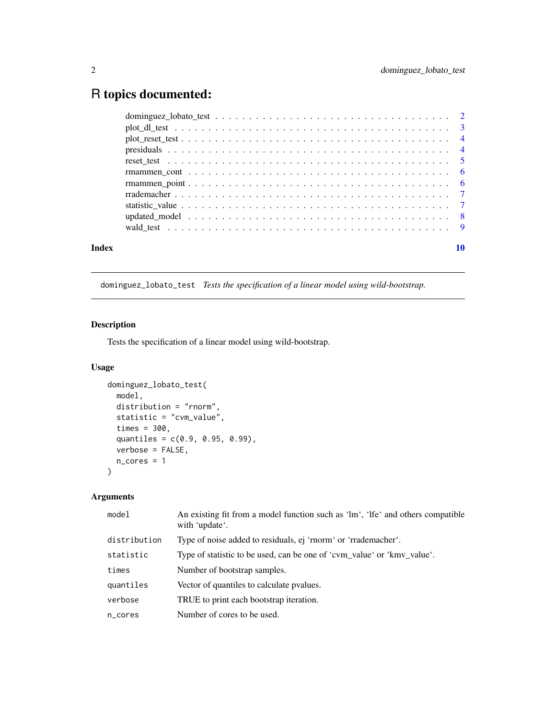### <span id="page-1-0"></span>R topics documented:

|       | $plot_d1_test \dots \dots \dots \dots \dots \dots \dots \dots \dots \dots \dots \dots \dots \dots \dots \dots \dots \dots$ |    |
|-------|----------------------------------------------------------------------------------------------------------------------------|----|
|       |                                                                                                                            |    |
|       |                                                                                                                            |    |
|       |                                                                                                                            |    |
|       |                                                                                                                            |    |
|       |                                                                                                                            |    |
|       |                                                                                                                            |    |
|       |                                                                                                                            |    |
|       |                                                                                                                            |    |
|       |                                                                                                                            |    |
| Index |                                                                                                                            | 10 |

dominguez\_lobato\_test *Tests the specification of a linear model using wild-bootstrap.*

#### Description

Tests the specification of a linear model using wild-bootstrap.

#### Usage

```
dominguez_lobato_test(
 model,
 distribution = "rnorm",
  statistic = "cvm_value",
  times = 300,
 quantiles = c(0.9, 0.95, 0.99),
 verbose = FALSE,
 n\_cores = 1\mathcal{L}
```
#### Arguments

| model        | An existing fit from a model function such as 'lm', 'lfe' and others compatible<br>with 'update'. |
|--------------|---------------------------------------------------------------------------------------------------|
| distribution | Type of noise added to residuals, ej 'rnorm' or 'rrademacher'.                                    |
| statistic    | Type of statistic to be used, can be one of 'cvm_value' or 'kmv_value'.                           |
| times        | Number of bootstrap samples.                                                                      |
| quantiles    | Vector of quantiles to calculate pyalues.                                                         |
| verbose      | TRUE to print each bootstrap iteration.                                                           |
| n_cores      | Number of cores to be used.                                                                       |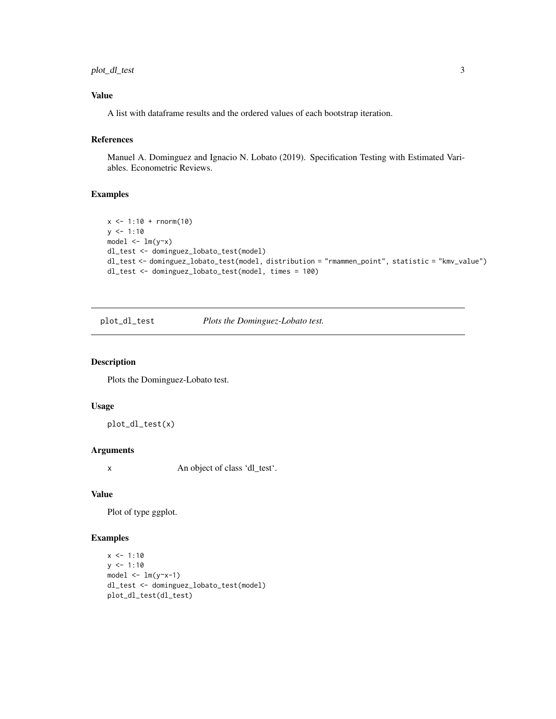#### <span id="page-2-0"></span>plot\_dl\_test 3

#### Value

A list with dataframe results and the ordered values of each bootstrap iteration.

#### References

Manuel A. Dominguez and Ignacio N. Lobato (2019). Specification Testing with Estimated Variables. Econometric Reviews.

#### Examples

```
x \le -1:10 + \text{norm}(10)y \le -1:10model \leq Im(y \sim x)dl_test <- dominguez_lobato_test(model)
dl_test <- dominguez_lobato_test(model, distribution = "rmammen_point", statistic = "kmv_value")
dl_test <- dominguez_lobato_test(model, times = 100)
```
plot\_dl\_test *Plots the Dominguez-Lobato test.*

#### Description

Plots the Dominguez-Lobato test.

#### Usage

plot\_dl\_test(x)

#### Arguments

x An object of class 'dl\_test'.

#### Value

Plot of type ggplot.

```
x \le -1:10y \le -1:10model \leq Im(y \sim x-1)dl_test <- dominguez_lobato_test(model)
plot_dl_test(dl_test)
```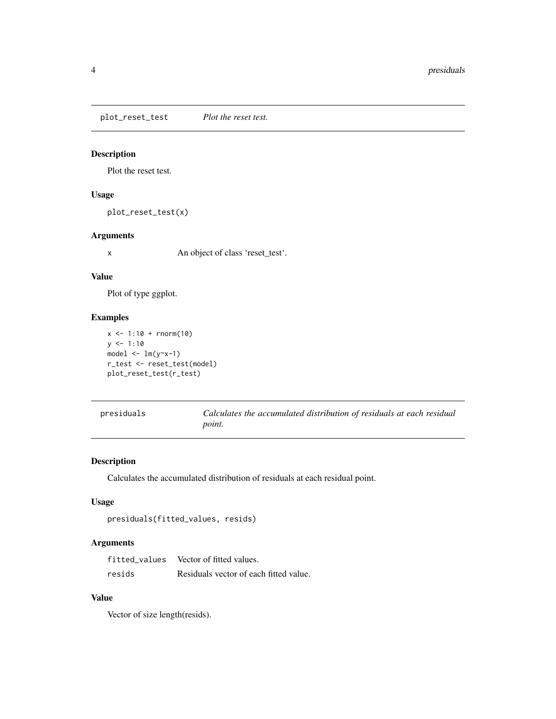<span id="page-3-0"></span>plot\_reset\_test *Plot the reset test.*

#### Description

Plot the reset test.

#### Usage

plot\_reset\_test(x)

#### Arguments

x An object of class 'reset\_test'.

#### Value

Plot of type ggplot.

#### Examples

```
x \le -1:10 + \text{norm}(10)y \le -1:10model \leftarrow lm(y \sim x-1)r_test <- reset_test(model)
plot_reset_test(r_test)
```

| presiduals | Calculates the accumulated distribution of residuals at each residual |
|------------|-----------------------------------------------------------------------|
|            | <i>point.</i>                                                         |

#### Description

Calculates the accumulated distribution of residuals at each residual point.

#### Usage

```
presiduals(fitted_values, resids)
```
#### Arguments

| fitted values | Vector of fitted values.               |
|---------------|----------------------------------------|
| resids        | Residuals vector of each fitted value. |

#### Value

Vector of size length(resids).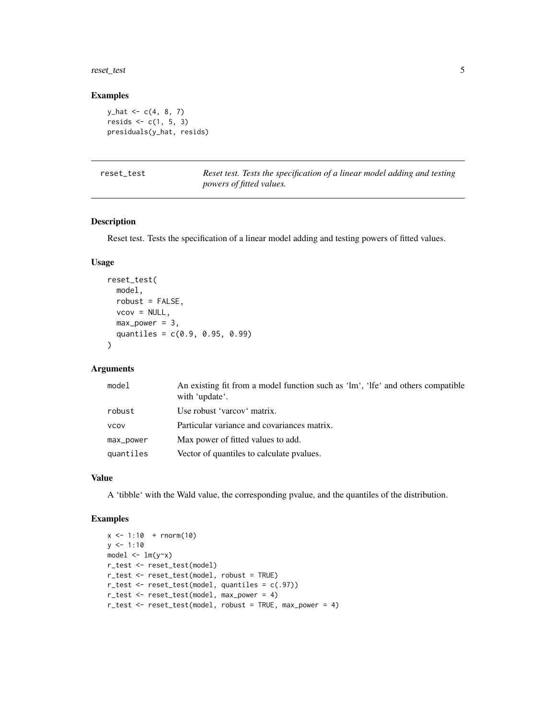#### <span id="page-4-0"></span>reset\_test 5

#### Examples

 $y_{hat} < -c(4, 8, 7)$ resids  $<-c(1, 5, 3)$ presiduals(y\_hat, resids)

Reset test. Tests the specification of a linear model adding and testing *powers of fitted values.*

#### Description

Reset test. Tests the specification of a linear model adding and testing powers of fitted values.

#### Usage

```
reset_test(
 model,
 robust = FALSE,
 vcov = NULL,max\_power = 3,
 quantiles = c(0.9, 0.95, 0.99)
)
```
#### Arguments

| robust<br>Use robust 'varcov' matrix.<br>Particular variance and covariances matrix.<br><b>VCOV</b><br>Max power of fitted values to add.<br>max_power<br>Vector of quantiles to calculate pvalues.<br>quantiles | model | An existing fit from a model function such as 'lm', 'lfe' and others compatible<br>with 'update'. |
|------------------------------------------------------------------------------------------------------------------------------------------------------------------------------------------------------------------|-------|---------------------------------------------------------------------------------------------------|
|                                                                                                                                                                                                                  |       |                                                                                                   |
|                                                                                                                                                                                                                  |       |                                                                                                   |
|                                                                                                                                                                                                                  |       |                                                                                                   |
|                                                                                                                                                                                                                  |       |                                                                                                   |

#### Value

A 'tibble' with the Wald value, the corresponding pvalue, and the quantiles of the distribution.

```
x \le -1:10 + \text{norm}(10)y \le -1:10model \leq Im(y \sim x)r_test <- reset_test(model)
r_test <- reset_test(model, robust = TRUE)
r_test <- reset_test(model, quantiles = c(.97))
r_test <- reset_test(model, max_power = 4)
r_test <- reset_test(model, robust = TRUE, max_power = 4)
```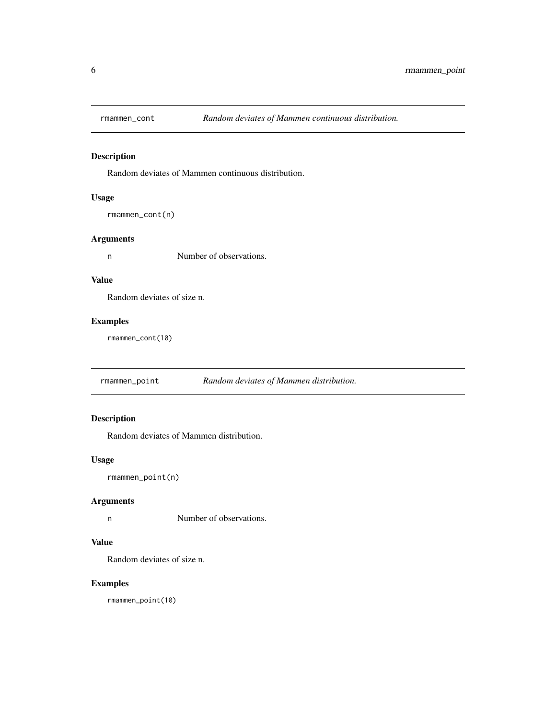<span id="page-5-0"></span>

#### Description

Random deviates of Mammen continuous distribution.

#### Usage

rmammen\_cont(n)

#### Arguments

n Number of observations.

#### Value

Random deviates of size n.

#### Examples

rmammen\_cont(10)

rmammen\_point *Random deviates of Mammen distribution.*

#### Description

Random deviates of Mammen distribution.

#### Usage

rmammen\_point(n)

#### Arguments

n Number of observations.

#### Value

Random deviates of size n.

#### Examples

rmammen\_point(10)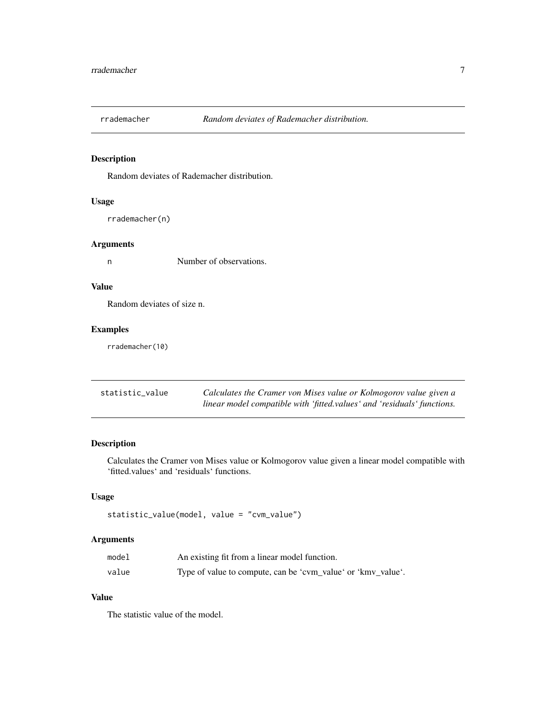<span id="page-6-0"></span>

#### Description

Random deviates of Rademacher distribution.

#### Usage

rrademacher(n)

#### Arguments

n Number of observations.

#### Value

Random deviates of size n.

#### Examples

rrademacher(10)

| statistic value | Calculates the Cramer von Mises value or Kolmogorov value given a       |
|-----------------|-------------------------------------------------------------------------|
|                 | linear model compatible with 'fitted.values' and 'residuals' functions. |

#### Description

Calculates the Cramer von Mises value or Kolmogorov value given a linear model compatible with 'fitted.values' and 'residuals' functions.

#### Usage

```
statistic_value(model, value = "cvm_value")
```
#### Arguments

| model | An existing fit from a linear model function.                |
|-------|--------------------------------------------------------------|
| value | Type of value to compute, can be 'cvm_value' or 'kmv_value'. |

#### Value

The statistic value of the model.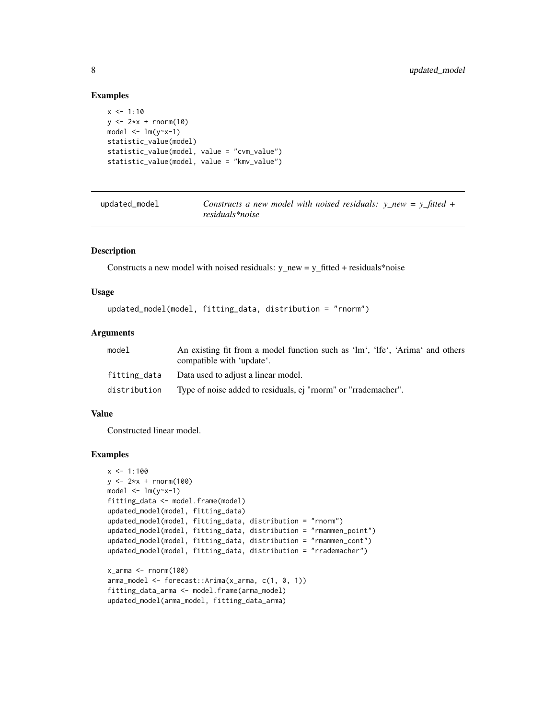#### Examples

```
x \le -1:10y \le -2*x + \text{norm}(10)model \leq \ln(y \sim x - 1)statistic_value(model)
statistic_value(model, value = "cvm_value")
statistic_value(model, value = "kmv_value")
```
updated\_model *Constructs a new model with noised residuals: y\_new = y\_fitted + residuals\*noise*

#### Description

Constructs a new model with noised residuals:  $y_new = y_fitted + residuals *noise$ 

#### Usage

```
updated_model(model, fitting_data, distribution = "rnorm")
```
#### **Arguments**

| model        | An existing fit from a model function such as 'lm', 'lfe', 'Arima' and others<br>compatible with 'update'. |
|--------------|------------------------------------------------------------------------------------------------------------|
|              | fitting_data Data used to adjust a linear model.                                                           |
| distribution | Type of noise added to residuals, ej "rnorm" or "rrademacher".                                             |

#### Value

Constructed linear model.

```
x < -1:100y \le -2*x + \text{norm}(100)model \leq \ln(y \sim x - 1)fitting_data <- model.frame(model)
updated_model(model, fitting_data)
updated_model(model, fitting_data, distribution = "rnorm")
updated_model(model, fitting_data, distribution = "rmammen_point")
updated_model(model, fitting_data, distribution = "rmammen_cont")
updated_model(model, fitting_data, distribution = "rrademacher")
x_1arma \leq rnorm(100)arma_model <- forecast::Arima(x_arma, c(1, 0, 1))
fitting_data_arma <- model.frame(arma_model)
updated_model(arma_model, fitting_data_arma)
```
<span id="page-7-0"></span>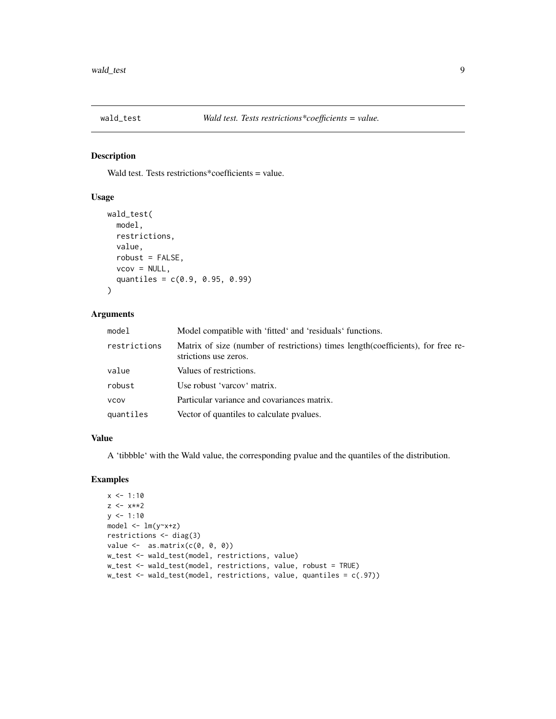<span id="page-8-0"></span>

#### Description

Wald test. Tests restrictions\*coefficients = value.

#### Usage

```
wald_test(
  model,
  restrictions,
 value,
  robust = FALSE,vcov = NULL,quantiles = c(0.9, 0.95, 0.99)
)
```
#### Arguments

| model        | Model compatible with 'fitted' and 'residuals' functions.                                                  |
|--------------|------------------------------------------------------------------------------------------------------------|
| restrictions | Matrix of size (number of restrictions) times length (coefficients), for free re-<br>strictions use zeros. |
| value        | Values of restrictions.                                                                                    |
| robust       | Use robust 'varcov' matrix.                                                                                |
| <b>VCOV</b>  | Particular variance and covariances matrix.                                                                |
| quantiles    | Vector of quantiles to calculate pvalues.                                                                  |
|              |                                                                                                            |

#### Value

A 'tibbble' with the Wald value, the corresponding pvalue and the quantiles of the distribution.

```
x \le -1:10z <- x**2
y \le -1:10model <- lm(y~x+z)
restrictions <- diag(3)
value \leq as.matrix(c(0, 0, 0))
w_test <- wald_test(model, restrictions, value)
w_test <- wald_test(model, restrictions, value, robust = TRUE)
w_test <- wald_test(model, restrictions, value, quantiles = c(.97))
```